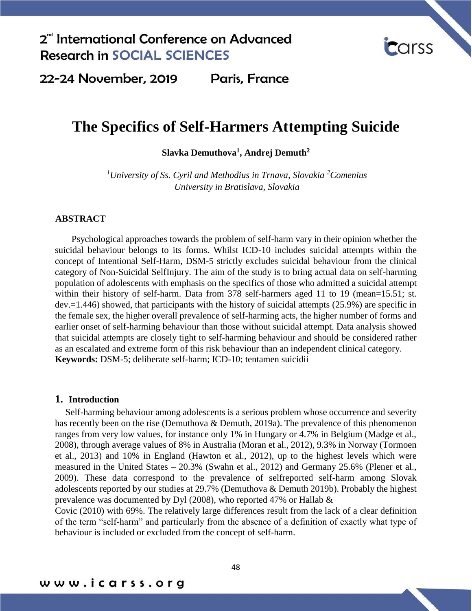

22-24 November, 2019 Paris, France

# **The Specifics of Self-Harmers Attempting Suicide**

**Slavka Demuthova<sup>1</sup> , Andrej Demuth<sup>2</sup>**

*<sup>1</sup>University of Ss. Cyril and Methodius in Trnava, Slovakia <sup>2</sup>Comenius University in Bratislava, Slovakia*

## **ABSTRACT**

Psychological approaches towards the problem of self-harm vary in their opinion whether the suicidal behaviour belongs to its forms. Whilst ICD-10 includes suicidal attempts within the concept of Intentional Self-Harm, DSM-5 strictly excludes suicidal behaviour from the clinical category of Non-Suicidal SelfInjury. The aim of the study is to bring actual data on self-harming population of adolescents with emphasis on the specifics of those who admitted a suicidal attempt within their history of self-harm. Data from 378 self-harmers aged 11 to 19 (mean=15.51; st. dev.=1.446) showed, that participants with the history of suicidal attempts (25.9%) are specific in the female sex, the higher overall prevalence of self-harming acts, the higher number of forms and earlier onset of self-harming behaviour than those without suicidal attempt. Data analysis showed that suicidal attempts are closely tight to self-harming behaviour and should be considered rather as an escalated and extreme form of this risk behaviour than an independent clinical category. **Keywords:** DSM-5; deliberate self-harm; ICD-10; tentamen suicidii

## **1. Introduction**

Self-harming behaviour among adolescents is a serious problem whose occurrence and severity has recently been on the rise (Demuthova & Demuth, 2019a). The prevalence of this phenomenon ranges from very low values, for instance only 1% in Hungary or 4.7% in Belgium (Madge et al., 2008), through average values of 8% in Australia (Moran et al., 2012), 9.3% in Norway (Tormoen et al., 2013) and 10% in England (Hawton et al., 2012), up to the highest levels which were measured in the United States – 20.3% (Swahn et al., 2012) and Germany 25.6% (Plener et al., 2009). These data correspond to the prevalence of selfreported self-harm among Slovak adolescents reported by our studies at 29.7% (Demuthova & Demuth 2019b). Probably the highest prevalence was documented by Dyl (2008), who reported 47% or Hallab &

Covic (2010) with 69%. The relatively large differences result from the lack of a clear definition of the term "self-harm" and particularly from the absence of a definition of exactly what type of behaviour is included or excluded from the concept of self-harm.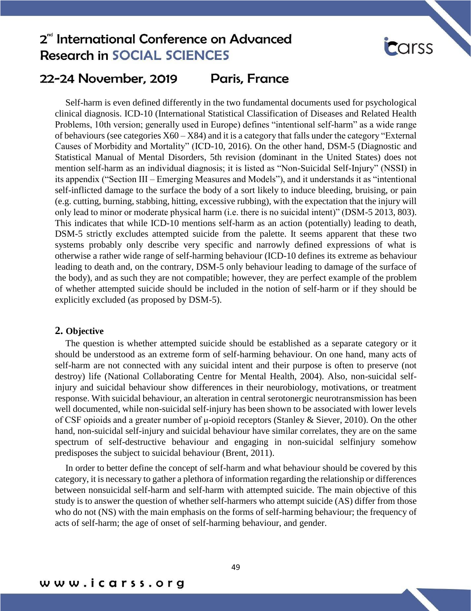

### 22-24 November, 2019 Paris, France

Self-harm is even defined differently in the two fundamental documents used for psychological clinical diagnosis. ICD-10 (International Statistical Classification of Diseases and Related Health Problems, 10th version; generally used in Europe) defines "intentional self-harm" as a wide range of behaviours (see categories  $X60 - X84$ ) and it is a category that falls under the category "External Causes of Morbidity and Mortality" (ICD-10, 2016). On the other hand, DSM-5 (Diagnostic and Statistical Manual of Mental Disorders, 5th revision (dominant in the United States) does not mention self-harm as an individual diagnosis; it is listed as "Non-Suicidal Self-Injury" (NSSI) in its appendix ("Section III – Emerging Measures and Models"), and it understands it as "intentional self-inflicted damage to the surface the body of a sort likely to induce bleeding, bruising, or pain (e.g. cutting, burning, stabbing, hitting, excessive rubbing), with the expectation that the injury will only lead to minor or moderate physical harm (i.e. there is no suicidal intent)" (DSM-5 2013, 803). This indicates that while ICD-10 mentions self-harm as an action (potentially) leading to death, DSM-5 strictly excludes attempted suicide from the palette. It seems apparent that these two systems probably only describe very specific and narrowly defined expressions of what is otherwise a rather wide range of self-harming behaviour (ICD-10 defines its extreme as behaviour leading to death and, on the contrary, DSM-5 only behaviour leading to damage of the surface of the body), and as such they are not compatible; however, they are perfect example of the problem of whether attempted suicide should be included in the notion of self-harm or if they should be explicitly excluded (as proposed by DSM-5).

## **2. Objective**

The question is whether attempted suicide should be established as a separate category or it should be understood as an extreme form of self-harming behaviour. On one hand, many acts of self-harm are not connected with any suicidal intent and their purpose is often to preserve (not destroy) life (National Collaborating Centre for Mental Health, 2004). Also, non-suicidal selfinjury and suicidal behaviour show differences in their neurobiology, motivations, or treatment response. With suicidal behaviour, an alteration in central serotonergic neurotransmission has been well documented, while non-suicidal self-injury has been shown to be associated with lower levels of CSF opioids and a greater number of μ-opioid receptors (Stanley & Siever, 2010). On the other hand, non-suicidal self-injury and suicidal behaviour have similar correlates, they are on the same spectrum of self-destructive behaviour and engaging in non-suicidal selfinjury somehow predisposes the subject to suicidal behaviour (Brent, 2011).

In order to better define the concept of self-harm and what behaviour should be covered by this category, it is necessary to gather a plethora of information regarding the relationship or differences between nonsuicidal self-harm and self-harm with attempted suicide. The main objective of this study is to answer the question of whether self-harmers who attempt suicide (AS) differ from those who do not (NS) with the main emphasis on the forms of self-harming behaviour; the frequency of acts of self-harm; the age of onset of self-harming behaviour, and gender.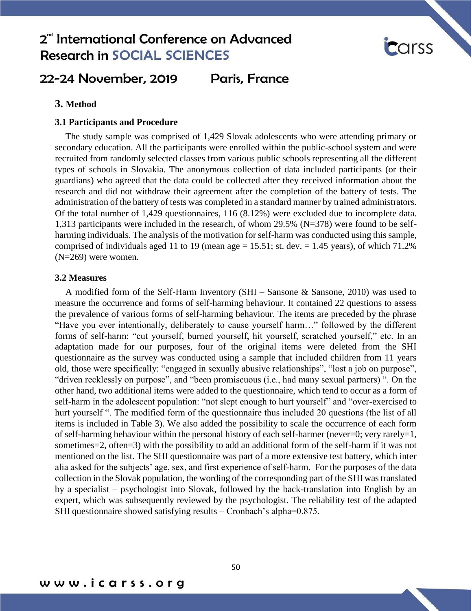

### 22-24 November, 2019 Paris, France

## **3. Method**

## **3.1 Participants and Procedure**

The study sample was comprised of 1,429 Slovak adolescents who were attending primary or secondary education. All the participants were enrolled within the public-school system and were recruited from randomly selected classes from various public schools representing all the different types of schools in Slovakia. The anonymous collection of data included participants (or their guardians) who agreed that the data could be collected after they received information about the research and did not withdraw their agreement after the completion of the battery of tests. The administration of the battery of tests was completed in a standard manner by trained administrators. Of the total number of 1,429 questionnaires, 116 (8.12%) were excluded due to incomplete data. 1,313 participants were included in the research, of whom 29.5% (N=378) were found to be selfharming individuals. The analysis of the motivation for self-harm was conducted using this sample, comprised of individuals aged 11 to 19 (mean age  $= 15.51$ ; st. dev.  $= 1.45$  years), of which 71.2% (N=269) were women.

### **3.2 Measures**

A modified form of the Self-Harm Inventory (SHI – Sansone & Sansone, 2010) was used to measure the occurrence and forms of self-harming behaviour. It contained 22 questions to assess the prevalence of various forms of self-harming behaviour. The items are preceded by the phrase "Have you ever intentionally, deliberately to cause yourself harm…" followed by the different forms of self-harm: "cut yourself, burned yourself, hit yourself, scratched yourself," etc. In an adaptation made for our purposes, four of the original items were deleted from the SHI questionnaire as the survey was conducted using a sample that included children from 11 years old, those were specifically: "engaged in sexually abusive relationships", "lost a job on purpose", "driven recklessly on purpose", and "been promiscuous (i.e., had many sexual partners) ". On the other hand, two additional items were added to the questionnaire, which tend to occur as a form of self-harm in the adolescent population: "not slept enough to hurt yourself" and "over-exercised to hurt yourself ". The modified form of the questionnaire thus included 20 questions (the list of all items is included in Table 3). We also added the possibility to scale the occurrence of each form of self-harming behaviour within the personal history of each self-harmer (never=0; very rarely=1, sometimes=2, often=3) with the possibility to add an additional form of the self-harm if it was not mentioned on the list. The SHI questionnaire was part of a more extensive test battery, which inter alia asked for the subjects' age, sex, and first experience of self-harm. For the purposes of the data collection in the Slovak population, the wording of the corresponding part of the SHI was translated by a specialist – psychologist into Slovak, followed by the back-translation into English by an expert, which was subsequently reviewed by the psychologist. The reliability test of the adapted SHI questionnaire showed satisfying results – Cronbach's alpha=0.875.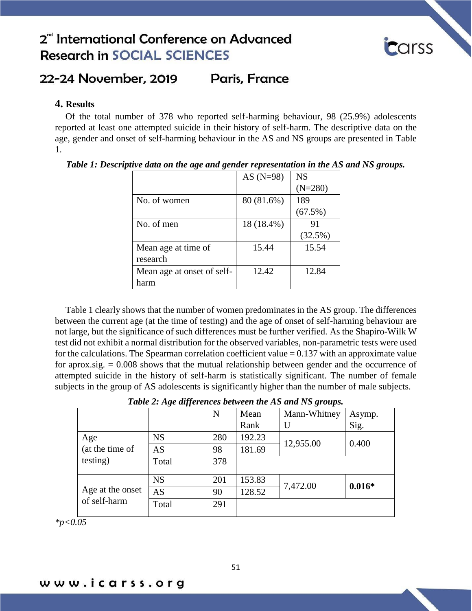

### 22-24 November, 2019 Paris, France

## **4. Results**

Of the total number of 378 who reported self-harming behaviour, 98 (25.9%) adolescents reported at least one attempted suicide in their history of self-harm. The descriptive data on the age, gender and onset of self-harming behaviour in the AS and NS groups are presented in Table 1.

|                            | AS $(N=98)$ | <b>NS</b> |
|----------------------------|-------------|-----------|
|                            |             | $(N=280)$ |
| No. of women               | 80 (81.6%)  | 189       |
|                            |             | (67.5%)   |
| No. of men                 | 18 (18.4%)  | 91        |
|                            |             | (32.5%)   |
| Mean age at time of        | 15.44       | 15.54     |
| research                   |             |           |
| Mean age at onset of self- | 12.42       | 12.84     |
| harm                       |             |           |

*Table 1: Descriptive data on the age and gender representation in the AS and NS groups.*

Table 1 clearly shows that the number of women predominates in the AS group. The differences between the current age (at the time of testing) and the age of onset of self-harming behaviour are not large, but the significance of such differences must be further verified. As the Shapiro-Wilk W test did not exhibit a normal distribution for the observed variables, non-parametric tests were used for the calculations. The Spearman correlation coefficient value  $= 0.137$  with an approximate value for aprox.sig. = 0.008 shows that the mutual relationship between gender and the occurrence of attempted suicide in the history of self-harm is statistically significant. The number of female subjects in the group of AS adolescents is significantly higher than the number of male subjects.

*Table 2: Age differences between the AS and NS groups.* 

|                                  |           | N   | Mean   | Mann-Whitney | Asymp.   |  |
|----------------------------------|-----------|-----|--------|--------------|----------|--|
|                                  |           |     | Rank   | U            | Sig.     |  |
| Age                              | <b>NS</b> | 280 | 192.23 | 12,955.00    | 0.400    |  |
| (at the time of                  | <b>AS</b> | 98  | 181.69 |              |          |  |
| testing)                         | Total     | 378 |        |              |          |  |
| Age at the onset<br>of self-harm | <b>NS</b> | 201 | 153.83 |              | $0.016*$ |  |
|                                  | AS        | 90  | 128.52 | 7,472.00     |          |  |
|                                  | Total     | 291 |        |              |          |  |
|                                  |           |     |        |              |          |  |

*\*p<0.05*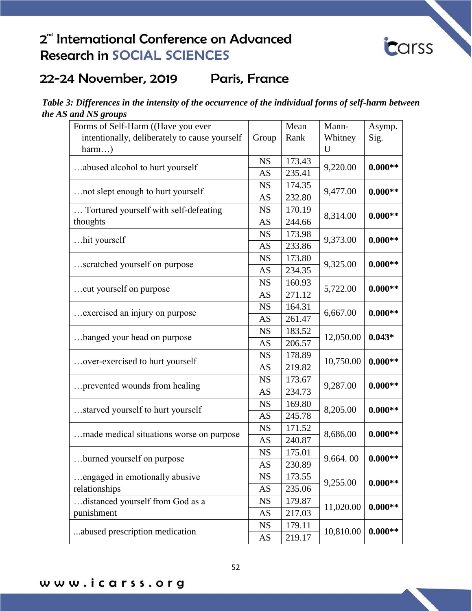

# 22-24 November, 2019 Paris, France

*Table 3: Differences in the intensity of the occurrence of the individual forms of self-harm between the AS and NS groups* 

| Forms of Self-Harm ((Have you ever            |           | Mean   | Mann-       | Asymp.    |
|-----------------------------------------------|-----------|--------|-------------|-----------|
| intentionally, deliberately to cause yourself | Group     | Rank   | Whitney     | Sig.      |
| harm                                          |           |        | $\mathbf U$ |           |
| abused alcohol to hurt yourself               | <b>NS</b> | 173.43 | 9,220.00    | $0.000**$ |
|                                               | <b>AS</b> | 235.41 |             |           |
| not slept enough to hurt yourself             | <b>NS</b> | 174.35 | 9,477.00    | $0.000**$ |
|                                               | AS        | 232.80 |             |           |
| Tortured yourself with self-defeating         | <b>NS</b> | 170.19 | 8,314.00    | $0.000**$ |
| thoughts                                      | AS        | 244.66 |             |           |
| hit yourself                                  | <b>NS</b> | 173.98 | 9,373.00    | $0.000**$ |
|                                               | <b>AS</b> | 233.86 |             |           |
| scratched yourself on purpose                 | <b>NS</b> | 173.80 | 9,325.00    | $0.000**$ |
|                                               | AS        | 234.35 |             |           |
|                                               | <b>NS</b> | 160.93 |             | $0.000**$ |
| cut yourself on purpose                       | AS        | 271.12 | 5,722.00    |           |
|                                               | <b>NS</b> | 164.31 | 6,667.00    |           |
| exercised an injury on purpose                | AS        | 261.47 |             | $0.000**$ |
| banged your head on purpose                   | <b>NS</b> | 183.52 | 12,050.00   |           |
|                                               | AS        | 206.57 |             | $0.043*$  |
|                                               | <b>NS</b> | 178.89 |             | $0.000**$ |
| over-exercised to hurt yourself               | AS        | 219.82 | 10,750.00   |           |
|                                               | <b>NS</b> | 173.67 |             |           |
| prevented wounds from healing                 | AS        | 234.73 | 9,287.00    | $0.000**$ |
|                                               | <b>NS</b> | 169.80 |             |           |
| starved yourself to hurt yourself             | AS        | 245.78 | 8,205.00    | $0.000**$ |
|                                               | <b>NS</b> | 171.52 | 8,686.00    |           |
| made medical situations worse on purpose      | <b>AS</b> | 240.87 |             | $0.000**$ |
|                                               | <b>NS</b> | 175.01 |             |           |
| burned yourself on purpose                    | AS        | 230.89 | 9.664.00    | $0.000**$ |
| engaged in emotionally abusive                | <b>NS</b> | 173.55 |             | $0.000**$ |
| relationships                                 | AS        | 235.06 | 9,255.00    |           |
| distanced yourself from God as a              | <b>NS</b> | 179.87 |             | $0.000**$ |
| punishment                                    | AS        | 217.03 | 11,020.00   |           |
|                                               | <b>NS</b> | 179.11 |             |           |
| abused prescription medication                | AS        | 219.17 | 10,810.00   | $0.000**$ |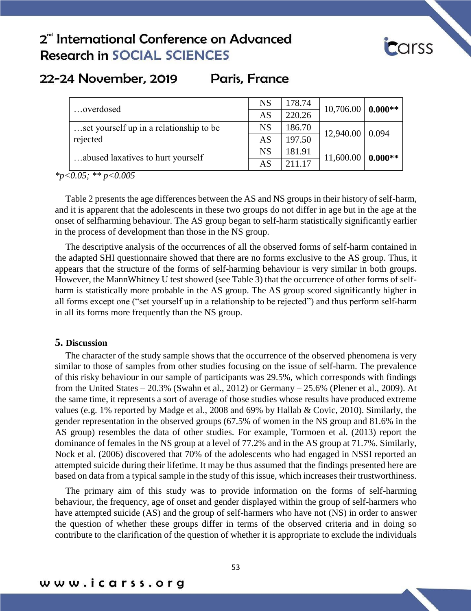

### 22-24 November, 2019 Paris, France

| overdosed                               | <b>NS</b> | 178.74 | $10,706.00 \mid 0.000**$ |           |
|-----------------------------------------|-----------|--------|--------------------------|-----------|
|                                         | AS        | 220.26 |                          |           |
| set yourself up in a relationship to be | <b>NS</b> | 186.70 | 12,940.00                | 0.094     |
| rejected                                | AS        | 197.50 |                          |           |
| abused laxatives to hurt yourself       | <b>NS</b> | 181.91 | 11,600.00                | $0.000**$ |
|                                         | <b>AS</b> | 211.17 |                          |           |
|                                         |           |        |                          |           |

*\*p<0.05; \*\* p<0.005* 

Table 2 presents the age differences between the AS and NS groups in their history of self-harm, and it is apparent that the adolescents in these two groups do not differ in age but in the age at the onset of selfharming behaviour. The AS group began to self-harm statistically significantly earlier in the process of development than those in the NS group.

The descriptive analysis of the occurrences of all the observed forms of self-harm contained in the adapted SHI questionnaire showed that there are no forms exclusive to the AS group. Thus, it appears that the structure of the forms of self-harming behaviour is very similar in both groups. However, the MannWhitney U test showed (see Table 3) that the occurrence of other forms of selfharm is statistically more probable in the AS group. The AS group scored significantly higher in all forms except one ("set yourself up in a relationship to be rejected") and thus perform self-harm in all its forms more frequently than the NS group.

## **5. Discussion**

The character of the study sample shows that the occurrence of the observed phenomena is very similar to those of samples from other studies focusing on the issue of self-harm. The prevalence of this risky behaviour in our sample of participants was 29.5%, which corresponds with findings from the United States  $-20.3\%$  (Swahn et al., 2012) or Germany  $-25.6\%$  (Plener et al., 2009). At the same time, it represents a sort of average of those studies whose results have produced extreme values (e.g. 1% reported by Madge et al., 2008 and 69% by Hallab & Covic, 2010). Similarly, the gender representation in the observed groups (67.5% of women in the NS group and 81.6% in the AS group) resembles the data of other studies. For example, Tormoen et al. (2013) report the dominance of females in the NS group at a level of 77.2% and in the AS group at 71.7%. Similarly, Nock et al. (2006) discovered that 70% of the adolescents who had engaged in NSSI reported an attempted suicide during their lifetime. It may be thus assumed that the findings presented here are based on data from a typical sample in the study of this issue, which increases their trustworthiness.

The primary aim of this study was to provide information on the forms of self-harming behaviour, the frequency, age of onset and gender displayed within the group of self-harmers who have attempted suicide (AS) and the group of self-harmers who have not (NS) in order to answer the question of whether these groups differ in terms of the observed criteria and in doing so contribute to the clarification of the question of whether it is appropriate to exclude the individuals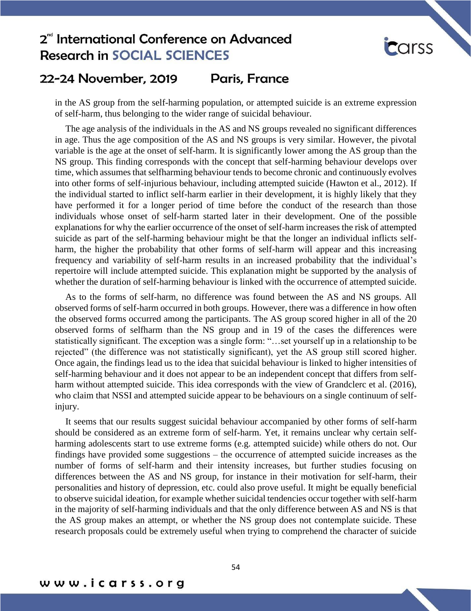

in the AS group from the self-harming population, or attempted suicide is an extreme expression of self-harm, thus belonging to the wider range of suicidal behaviour.

**Carss** 

The age analysis of the individuals in the AS and NS groups revealed no significant differences in age. Thus the age composition of the AS and NS groups is very similar. However, the pivotal variable is the age at the onset of self-harm. It is significantly lower among the AS group than the NS group. This finding corresponds with the concept that self-harming behaviour develops over time, which assumes that selfharming behaviour tends to become chronic and continuously evolves into other forms of self-injurious behaviour, including attempted suicide (Hawton et al., 2012). If the individual started to inflict self-harm earlier in their development, it is highly likely that they have performed it for a longer period of time before the conduct of the research than those individuals whose onset of self-harm started later in their development. One of the possible explanations for why the earlier occurrence of the onset of self-harm increases the risk of attempted suicide as part of the self-harming behaviour might be that the longer an individual inflicts selfharm, the higher the probability that other forms of self-harm will appear and this increasing frequency and variability of self-harm results in an increased probability that the individual's repertoire will include attempted suicide. This explanation might be supported by the analysis of whether the duration of self-harming behaviour is linked with the occurrence of attempted suicide.

As to the forms of self-harm, no difference was found between the AS and NS groups. All observed forms of self-harm occurred in both groups. However, there was a difference in how often the observed forms occurred among the participants. The AS group scored higher in all of the 20 observed forms of selfharm than the NS group and in 19 of the cases the differences were statistically significant. The exception was a single form: "…set yourself up in a relationship to be rejected" (the difference was not statistically significant), yet the AS group still scored higher. Once again, the findings lead us to the idea that suicidal behaviour is linked to higher intensities of self-harming behaviour and it does not appear to be an independent concept that differs from selfharm without attempted suicide. This idea corresponds with the view of Grandclerc et al. (2016), who claim that NSSI and attempted suicide appear to be behaviours on a single continuum of selfinjury.

It seems that our results suggest suicidal behaviour accompanied by other forms of self-harm should be considered as an extreme form of self-harm. Yet, it remains unclear why certain selfharming adolescents start to use extreme forms (e.g. attempted suicide) while others do not. Our findings have provided some suggestions – the occurrence of attempted suicide increases as the number of forms of self-harm and their intensity increases, but further studies focusing on differences between the AS and NS group, for instance in their motivation for self-harm, their personalities and history of depression, etc. could also prove useful. It might be equally beneficial to observe suicidal ideation, for example whether suicidal tendencies occur together with self-harm in the majority of self-harming individuals and that the only difference between AS and NS is that the AS group makes an attempt, or whether the NS group does not contemplate suicide. These research proposals could be extremely useful when trying to comprehend the character of suicide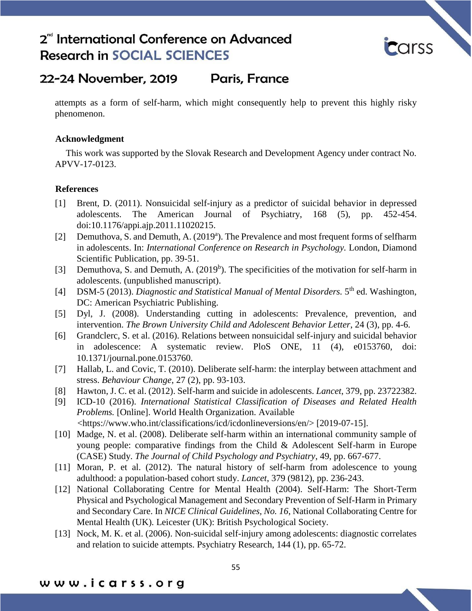

## 22-24 November, 2019 Paris, France

attempts as a form of self-harm, which might consequently help to prevent this highly risky phenomenon.

## **Acknowledgment**

This work was supported by the Slovak Research and Development Agency under contract No. APVV-17-0123.

## **References**

- [1] Brent, D. (2011). Nonsuicidal self-injury as a predictor of suicidal behavior in depressed adolescents. The American Journal of Psychiatry, 168 (5), pp. 452-454. doi:10.1176/appi.ajp.2011.11020215.
- [2] Demuthova, S. and Demuth, A. (2019<sup>a</sup>). The Prevalence and most frequent forms of selfharm in adolescents. In: *International Conference on Research in Psychology.* London, Diamond Scientific Publication, pp. 39-51.
- [3] Demuthova, S. and Demuth, A.  $(2019<sup>b</sup>)$ . The specificities of the motivation for self-harm in adolescents. (unpublished manuscript).
- [4] DSM-5 (2013). *Diagnostic and Statistical Manual of Mental Disorders*. 5<sup>th</sup> ed. Washington, DC: American Psychiatric Publishing.
- [5] Dyl, J. (2008). Understanding cutting in adolescents: Prevalence, prevention, and intervention. *The Brown University Child and Adolescent Behavior Letter*, 24 (3), pp. 4-6.
- [6] Grandclerc, S. et al. (2016). Relations between nonsuicidal self-injury and suicidal behavior in adolescence: A systematic review. PloS ONE, 11 (4), e0153760, doi: 10.1371/journal.pone.0153760.
- [7] Hallab, L. and Covic, T. (2010). Deliberate self-harm: the interplay between attachment and stress. *Behaviour Change*, 27 (2), pp. 93-103.
- [8] Hawton, J. C. et al. (2012). Self-harm and suicide in adolescents. *Lancet*, 379, pp. 23722382.
- [9] ICD-10 (2016). *International Statistical Classification of Diseases and Related Health Problems.* [Online]. World Health Organization. Available <https://www.who.int/classifications/icd/icdonlineversions/en/> [2019-07-15].
- [10] Madge, N. et al. (2008). Deliberate self-harm within an international community sample of young people: comparative findings from the Child & Adolescent Self-harm in Europe (CASE) Study. *The Journal of Child Psychology and Psychiatry*, 49, pp. 667-677.
- [11] Moran, P. et al. (2012). The natural history of self-harm from adolescence to young adulthood: a population-based cohort study. *Lancet*, 379 (9812), pp. 236-243.
- [12] National Collaborating Centre for Mental Health (2004). Self-Harm: The Short-Term Physical and Psychological Management and Secondary Prevention of Self-Harm in Primary and Secondary Care. In *NICE Clinical Guidelines, No. 16*, National Collaborating Centre for Mental Health (UK). Leicester (UK): British Psychological Society.
- [13] Nock, M. K. et al. (2006). Non-suicidal self-injury among adolescents: diagnostic correlates and relation to suicide attempts. Psychiatry Research, 144 (1), pp. 65-72.

www.icarss.org